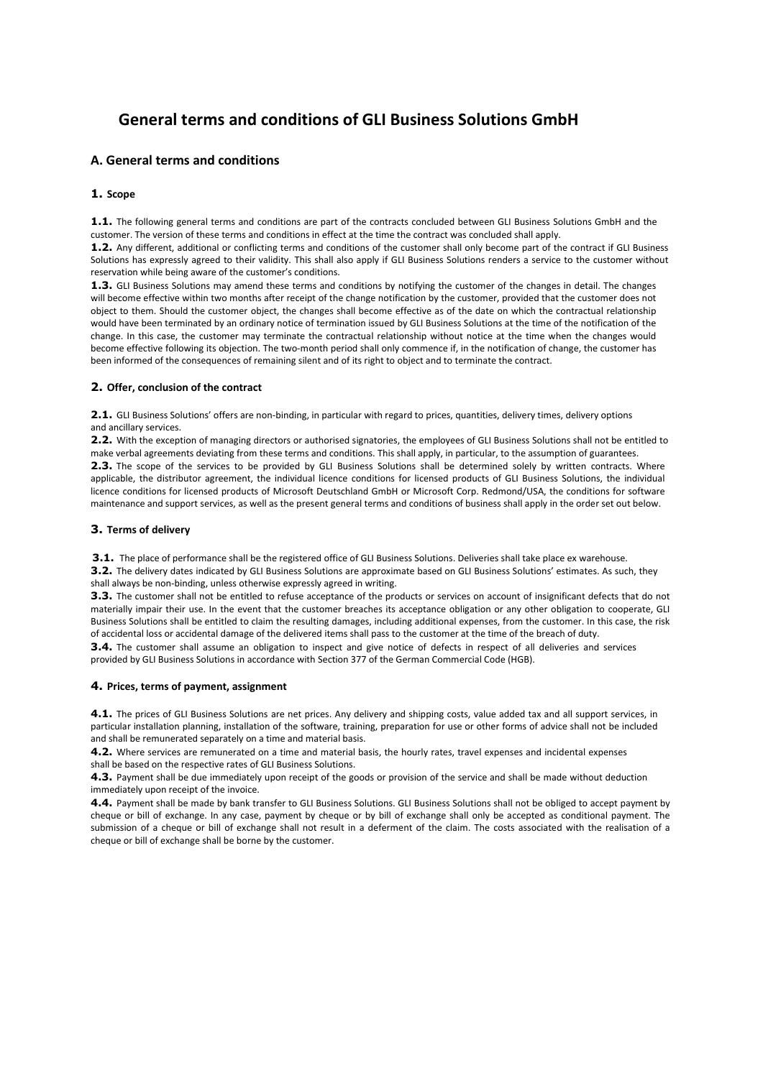# **General terms and conditions of GLI Business Solutions GmbH**

# **A. General terms and conditions**

# **1. Scope**

**1.1.** The following general terms and conditions are part of the contracts concluded between GLI Business Solutions GmbH and the customer. The version of these terms and conditions in effect at the time the contract was concluded shall apply.

**1.2.** Any different, additional or conflicting terms and conditions of the customer shall only become part of the contract if GLI Business Solutions has expressly agreed to their validity. This shall also apply if GLI Business Solutions renders a service to the customer without reservation while being aware of the customer's conditions.

**1.3.** GLI Business Solutions may amend these terms and conditions by notifying the customer of the changes in detail. The changes will become effective within two months after receipt of the change notification by the customer, provided that the customer does not object to them. Should the customer object, the changes shall become effective as of the date on which the contractual relationship would have been terminated by an ordinary notice of termination issued by GLI Business Solutions at the time of the notification of the change. In this case, the customer may terminate the contractual relationship without notice at the time when the changes would become effective following its objection. The two-month period shall only commence if, in the notification of change, the customer has been informed of the consequences of remaining silent and of its right to object and to terminate the contract.

#### **2. Offer, conclusion of the contract**

2.1. GLI Business Solutions' offers are non-binding, in particular with regard to prices, quantities, delivery times, delivery options and ancillary services.

**2.2.** With the exception of managing directors or authorised signatories, the employees of GLI Business Solutions shall not be entitled to make verbal agreements deviating from these terms and conditions. This shall apply, in particular, to the assumption of guarantees. **2.3.** The scope of the services to be provided by GLI Business Solutions shall be determined solely by written contracts. Where applicable, the distributor agreement, the individual licence conditions for licensed products of GLI Business Solutions, the individual licence conditions for licensed products of Microsoft Deutschland GmbH or Microsoft Corp. Redmond/USA, the conditions for software maintenance and support services, as well as the present general terms and conditions of business shall apply in the order set out below.

#### **3. Terms of delivery**

**3.1.** The place of performance shall be the registered office of GLI Business Solutions. Deliveries shall take place ex warehouse.

**3.2.** The delivery dates indicated by GLI Business Solutions are approximate based on GLI Business Solutions' estimates. As such, they shall always be non-binding, unless otherwise expressly agreed in writing.

**3.3.** The customer shall not be entitled to refuse acceptance of the products or services on account of insignificant defects that do not materially impair their use. In the event that the customer breaches its acceptance obligation or any other obligation to cooperate, GLI Business Solutions shall be entitled to claim the resulting damages, including additional expenses, from the customer. In this case, the risk of accidental loss or accidental damage of the delivered items shall pass to the customer at the time of the breach of duty.

**3.4.** The customer shall assume an obligation to inspect and give notice of defects in respect of all deliveries and services provided by GLI Business Solutions in accordance with Section 377 of the German Commercial Code (HGB).

#### **4. Prices, terms of payment, assignment**

**4.1.** The prices of GLI Business Solutions are net prices. Any delivery and shipping costs, value added tax and all support services, in particular installation planning, installation of the software, training, preparation for use or other forms of advice shall not be included and shall be remunerated separately on a time and material basis.

**4.2.** Where services are remunerated on a time and material basis, the hourly rates, travel expenses and incidental expenses shall be based on the respective rates of GLI Business Solutions.

**4.3.** Payment shall be due immediately upon receipt of the goods or provision of the service and shall be made without deduction immediately upon receipt of the invoice.

**4.4.** Payment shall be made by bank transfer to GLI Business Solutions. GLI Business Solutions shall not be obliged to accept payment by cheque or bill of exchange. In any case, payment by cheque or by bill of exchange shall only be accepted as conditional payment. The submission of a cheque or bill of exchange shall not result in a deferment of the claim. The costs associated with the realisation of a cheque or bill of exchange shall be borne by the customer.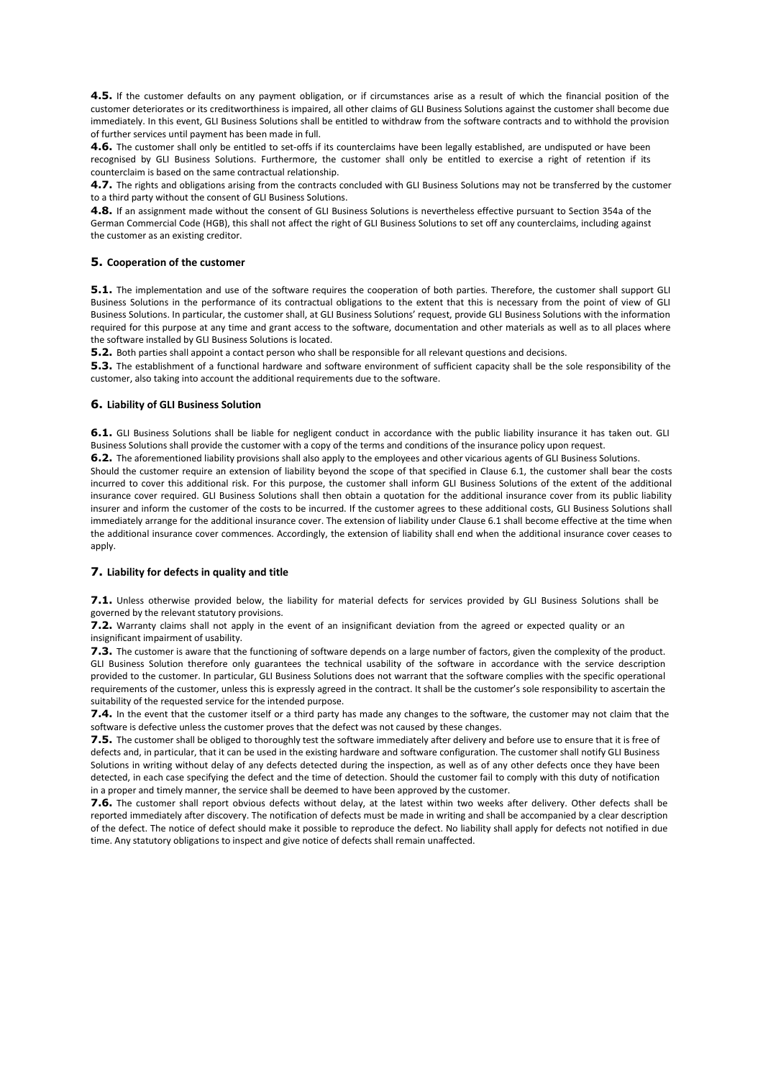**4.5.** If the customer defaults on any payment obligation, or if circumstances arise as a result of which the financial position of the customer deteriorates or its creditworthiness is impaired, all other claims of GLI Business Solutions against the customer shall become due immediately. In this event, GLI Business Solutions shall be entitled to withdraw from the software contracts and to withhold the provision of further services until payment has been made in full.

**4.6.** The customer shall only be entitled to set-offs if its counterclaims have been legally established, are undisputed or have been recognised by GLI Business Solutions. Furthermore, the customer shall only be entitled to exercise a right of retention if its counterclaim is based on the same contractual relationship.

**4.7.** The rights and obligations arising from the contracts concluded with GLI Business Solutions may not be transferred by the customer to a third party without the consent of GLI Business Solutions.

**4.8.** If an assignment made without the consent of GLI Business Solutions is nevertheless effective pursuant to Section 354a of the German Commercial Code (HGB), this shall not affect the right of GLI Business Solutions to set off any counterclaims, including against the customer as an existing creditor.

### **5. Cooperation of the customer**

**5.1.** The implementation and use of the software requires the cooperation of both parties. Therefore, the customer shall support GLI Business Solutions in the performance of its contractual obligations to the extent that this is necessary from the point of view of GLI Business Solutions. In particular, the customer shall, at GLI Business Solutions' request, provide GLI Business Solutions with the information required for this purpose at any time and grant access to the software, documentation and other materials as well as to all places where the software installed by GLI Business Solutions is located.

**5.2.** Both parties shall appoint a contact person who shall be responsible for all relevant questions and decisions.

**5.3.** The establishment of a functional hardware and software environment of sufficient capacity shall be the sole responsibility of the customer, also taking into account the additional requirements due to the software.

#### **6. Liability of GLI Business Solution**

**6.1.** GLI Business Solutions shall be liable for negligent conduct in accordance with the public liability insurance it has taken out. GLI Business Solutions shall provide the customer with a copy of the terms and conditions of the insurance policy upon request.

**6.2.** The aforementioned liability provisions shall also apply to the employees and other vicarious agents of GLI Business Solutions. Should the customer require an extension of liability beyond the scope of that specified in Clause 6.1, the customer shall bear the costs incurred to cover this additional risk. For this purpose, the customer shall inform GLI Business Solutions of the extent of the additional insurance cover required. GLI Business Solutions shall then obtain a quotation for the additional insurance cover from its public liability insurer and inform the customer of the costs to be incurred. If the customer agrees to these additional costs, GLI Business Solutions shall immediately arrange for the additional insurance cover. The extension of liability under Clause 6.1 shall become effective at the time when the additional insurance cover commences. Accordingly, the extension of liability shall end when the additional insurance cover ceases to apply.

#### **7. Liability for defects in quality and title**

**7.1.** Unless otherwise provided below, the liability for material defects for services provided by GLI Business Solutions shall be governed by the relevant statutory provisions.

**7.2.** Warranty claims shall not apply in the event of an insignificant deviation from the agreed or expected quality or an insignificant impairment of usability.

**7.3.** The customer is aware that the functioning of software depends on a large number of factors, given the complexity of the product. GLI Business Solution therefore only guarantees the technical usability of the software in accordance with the service description provided to the customer. In particular, GLI Business Solutions does not warrant that the software complies with the specific operational requirements of the customer, unless this is expressly agreed in the contract. It shall be the customer's sole responsibility to ascertain the suitability of the requested service for the intended purpose.

**7.4.** In the event that the customer itself or a third party has made any changes to the software, the customer may not claim that the software is defective unless the customer proves that the defect was not caused by these changes.

**7.5.** The customer shall be obliged to thoroughly test the software immediately after delivery and before use to ensure that it is free of defects and, in particular, that it can be used in the existing hardware and software configuration. The customer shall notify GLI Business Solutions in writing without delay of any defects detected during the inspection, as well as of any other defects once they have been detected, in each case specifying the defect and the time of detection. Should the customer fail to comply with this duty of notification in a proper and timely manner, the service shall be deemed to have been approved by the customer.

**7.6.** The customer shall report obvious defects without delay, at the latest within two weeks after delivery. Other defects shall be reported immediately after discovery. The notification of defects must be made in writing and shall be accompanied by a clear description of the defect. The notice of defect should make it possible to reproduce the defect. No liability shall apply for defects not notified in due time. Any statutory obligations to inspect and give notice of defects shall remain unaffected.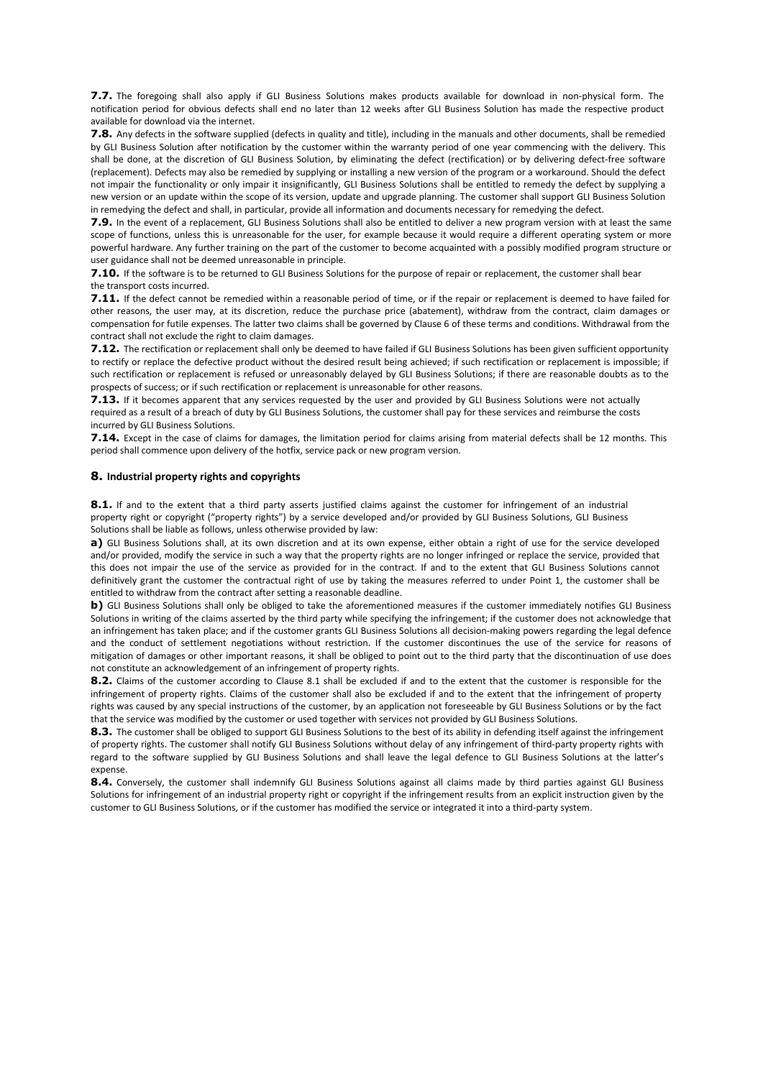**7.7.** The foregoing shall also apply if GLI Business Solutions makes products available for download in non-physical form. The notification period for obvious defects shall end no later than 12 weeks after GLI Business Solution has made the respective product available for download via the internet.

**7.8.** Any defects in the software supplied (defects in quality and title), including in the manuals and other documents, shall be remedied by GLI Business Solution after notification by the customer within the warranty period of one year commencing with the delivery. This shall be done, at the discretion of GLI Business Solution, by eliminating the defect (rectification) or by delivering defect-free software (replacement). Defects may also be remedied by supplying or installing a new version of the program or a workaround. Should the defect not impair the functionality or only impair it insignificantly, GLI Business Solutions shall be entitled to remedy the defect by supplying a new version or an update within the scope of its version, update and upgrade planning. The customer shall support GLI Business Solution in remedying the defect and shall, in particular, provide all information and documents necessary for remedying the defect.

**7.9.** In the event of a replacement, GLI Business Solutions shall also be entitled to deliver a new program version with at least the same scope of functions, unless this is unreasonable for the user, for example because it would require a different operating system or more powerful hardware. Any further training on the part of the customer to become acquainted with a possibly modified program structure or user guidance shall not be deemed unreasonable in principle.

**7.10.** If the software is to be returned to GLI Business Solutions for the purpose of repair or replacement, the customer shall bear the transport costs incurred.

**7.11.** If the defect cannot be remedied within a reasonable period of time, or if the repair or replacement is deemed to have failed for other reasons, the user may, at its discretion, reduce the purchase price (abatement), withdraw from the contract, claim damages or compensation for futile expenses. The latter two claims shall be governed by Clause 6 of these terms and conditions. Withdrawal from the contract shall not exclude the right to claim damages.

**7.12.** The rectification or replacement shall only be deemed to have failed if GLI Business Solutions has been given sufficient opportunity to rectify or replace the defective product without the desired result being achieved; if such rectification or replacement is impossible; if such rectification or replacement is refused or unreasonably delayed by GLI Business Solutions; if there are reasonable doubts as to the prospects of success; or if such rectification or replacement is unreasonable for other reasons.

**7.13.** If it becomes apparent that any services requested by the user and provided by GLI Business Solutions were not actually required as a result of a breach of duty by GLI Business Solutions, the customer shall pay for these services and reimburse the costs incurred by GLI Business Solutions.

**7.14.** Except in the case of claims for damages, the limitation period for claims arising from material defects shall be 12 months. This period shall commence upon delivery of the hotfix, service pack or new program version.

#### **8. Industrial property rights and copyrights**

8.1. If and to the extent that a third party asserts justified claims against the customer for infringement of an industrial property right or copyright ("property rights") by a service developed and/or provided by GLI Business Solutions, GLI Business Solutions shall be liable as follows, unless otherwise provided by law:

**a)** GLI Business Solutions shall, at its own discretion and at its own expense, either obtain a right of use for the service developed and/or provided, modify the service in such a way that the property rights are no longer infringed or replace the service, provided that this does not impair the use of the service as provided for in the contract. If and to the extent that GLI Business Solutions cannot definitively grant the customer the contractual right of use by taking the measures referred to under Point 1, the customer shall be entitled to withdraw from the contract after setting a reasonable deadline.

**b)** GLI Business Solutions shall only be obliged to take the aforementioned measures if the customer immediately notifies GLI Business Solutions in writing of the claims asserted by the third party while specifying the infringement; if the customer does not acknowledge that an infringement has taken place; and if the customer grants GLI Business Solutions all decision-making powers regarding the legal defence and the conduct of settlement negotiations without restriction. If the customer discontinues the use of the service for reasons of mitigation of damages or other important reasons, it shall be obliged to point out to the third party that the discontinuation of use does not constitute an acknowledgement of an infringement of property rights.

**8.2.** Claims of the customer according to Clause 8.1 shall be excluded if and to the extent that the customer is responsible for the infringement of property rights. Claims of the customer shall also be excluded if and to the extent that the infringement of property rights was caused by any special instructions of the customer, by an application not foreseeable by GLI Business Solutions or by the fact that the service was modified by the customer or used together with services not provided by GLI Business Solutions.

8.3. The customer shall be obliged to support GLI Business Solutions to the best of its ability in defending itself against the infringement of property rights. The customer shall notify GLI Business Solutions without delay of any infringement of third-party property rights with regard to the software supplied by GLI Business Solutions and shall leave the legal defence to GLI Business Solutions at the latter's expense.

**8.4.** Conversely, the customer shall indemnify GLI Business Solutions against all claims made by third parties against GLI Business Solutions for infringement of an industrial property right or copyright if the infringement results from an explicit instruction given by the customer to GLI Business Solutions, or if the customer has modified the service or integrated it into a third-party system.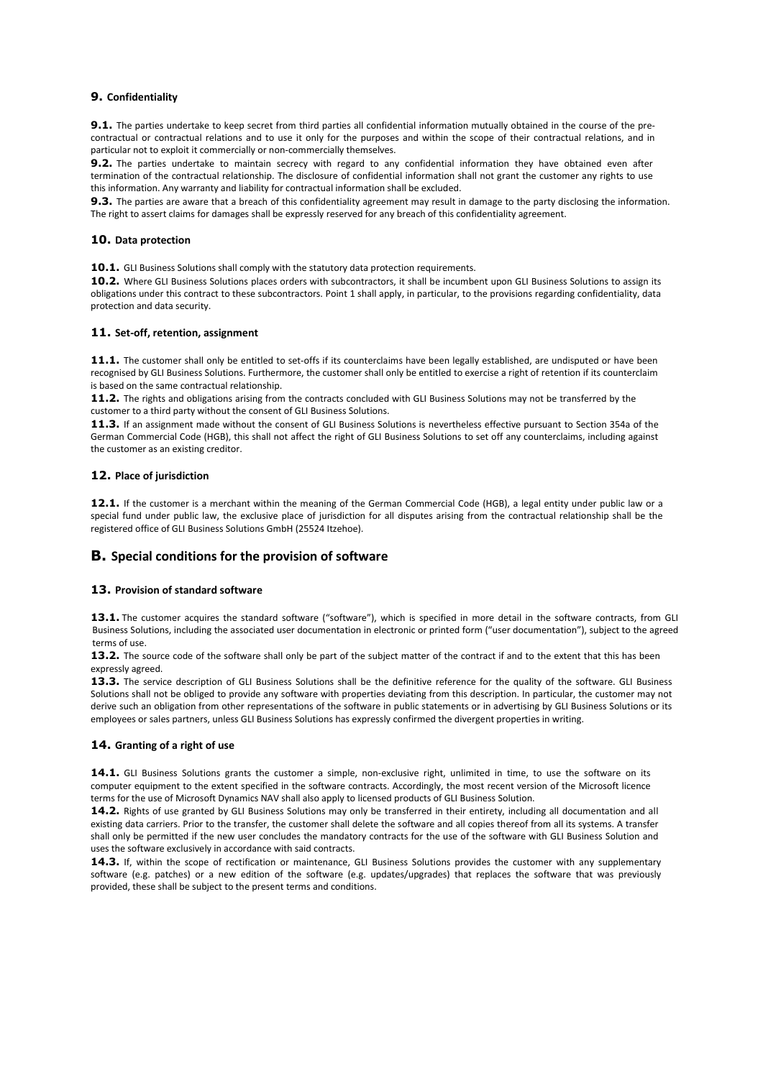# **9. Confidentiality**

**9.1.** The parties undertake to keep secret from third parties all confidential information mutually obtained in the course of the precontractual or contractual relations and to use it only for the purposes and within the scope of their contractual relations, and in particular not to exploit it commercially or non-commercially themselves.

**9.2.** The parties undertake to maintain secrecy with regard to any confidential information they have obtained even after termination of the contractual relationship. The disclosure of confidential information shall not grant the customer any rights to use this information. Any warranty and liability for contractual information shall be excluded.

**9.3.** The parties are aware that a breach of this confidentiality agreement may result in damage to the party disclosing the information. The right to assert claims for damages shall be expressly reserved for any breach of this confidentiality agreement.

### **10. Data protection**

10.1. GLI Business Solutions shall comply with the statutory data protection requirements.

**10.2.** Where GLI Business Solutions places orders with subcontractors, it shall be incumbent upon GLI Business Solutions to assign its obligations under this contract to these subcontractors. Point 1 shall apply, in particular, to the provisions regarding confidentiality, data protection and data security.

# **11. Set-off, retention, assignment**

**11.1.** The customer shall only be entitled to set-offs if its counterclaims have been legally established, are undisputed or have been recognised by GLI Business Solutions. Furthermore, the customer shall only be entitled to exercise a right of retention if its counterclaim is based on the same contractual relationship.

**11.2.** The rights and obligations arising from the contracts concluded with GLI Business Solutions may not be transferred by the customer to a third party without the consent of GLI Business Solutions.

**11.3.** If an assignment made without the consent of GLI Business Solutions is nevertheless effective pursuant to Section 354a of the German Commercial Code (HGB), this shall not affect the right of GLI Business Solutions to set off any counterclaims, including against the customer as an existing creditor.

# **12. Place of jurisdiction**

**12.1.** If the customer is a merchant within the meaning of the German Commercial Code (HGB), a legal entity under public law or a special fund under public law, the exclusive place of jurisdiction for all disputes arising from the contractual relationship shall be the registered office of GLI Business Solutions GmbH (25524 Itzehoe).

# **B. Special conditions for the provision of software**

#### **13. Provision of standard software**

13.1. The customer acquires the standard software ("software"), which is specified in more detail in the software contracts, from GLI Business Solutions, including the associated user documentation in electronic or printed form ("user documentation"), subject to the agreed terms of use.

13.2. The source code of the software shall only be part of the subject matter of the contract if and to the extent that this has been expressly agreed.

13.3. The service description of GLI Business Solutions shall be the definitive reference for the quality of the software. GLI Business Solutions shall not be obliged to provide any software with properties deviating from this description. In particular, the customer may not derive such an obligation from other representations of the software in public statements or in advertising by GLI Business Solutions or its employees or sales partners, unless GLI Business Solutions has expressly confirmed the divergent properties in writing.

#### **14. Granting of a right of use**

**14.1.** GLI Business Solutions grants the customer a simple, non-exclusive right, unlimited in time, to use the software on its computer equipment to the extent specified in the software contracts. Accordingly, the most recent version of the Microsoft licence terms for the use of Microsoft Dynamics NAV shall also apply to licensed products of GLI Business Solution.

**14.2.** Rights of use granted by GLI Business Solutions may only be transferred in their entirety, including all documentation and all existing data carriers. Prior to the transfer, the customer shall delete the software and all copies thereof from all its systems. A transfer shall only be permitted if the new user concludes the mandatory contracts for the use of the software with GLI Business Solution and uses the software exclusively in accordance with said contracts.

**14.3.** If, within the scope of rectification or maintenance, GLI Business Solutions provides the customer with any supplementary software (e.g. patches) or a new edition of the software (e.g. updates/upgrades) that replaces the software that was previously provided, these shall be subject to the present terms and conditions.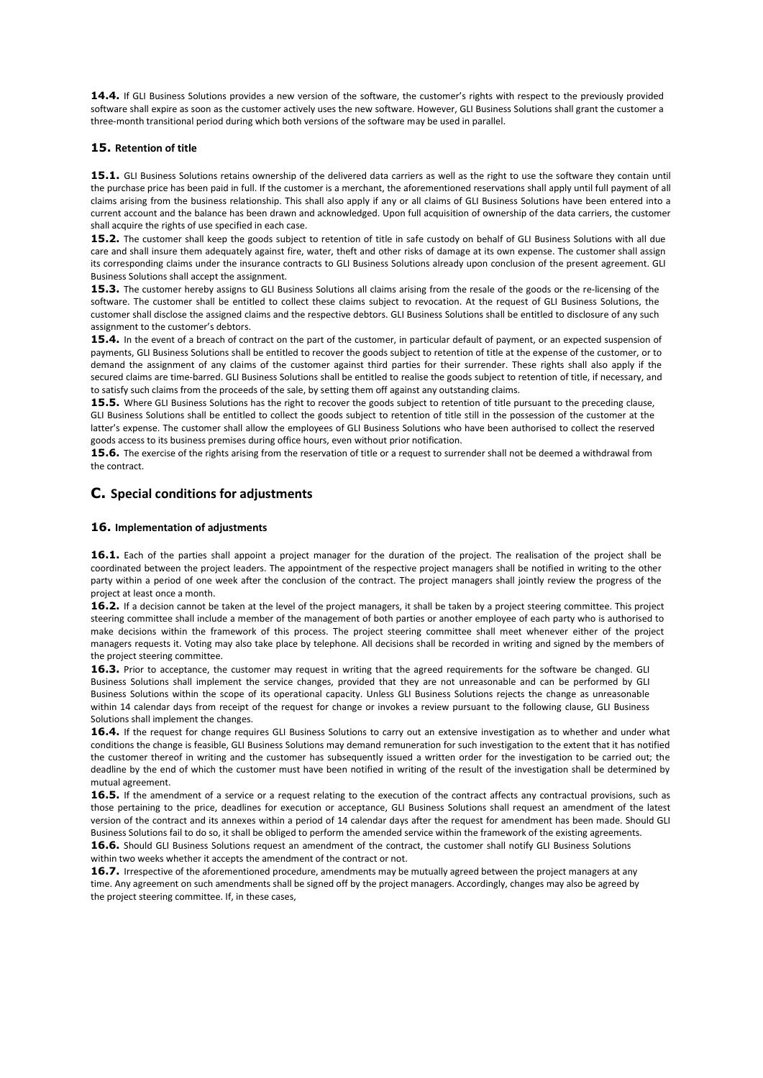**14.4.** If GLI Business Solutions provides a new version of the software, the customer's rights with respect to the previously provided software shall expire as soon as the customer actively uses the new software. However, GLI Business Solutions shall grant the customer a three-month transitional period during which both versions of the software may be used in parallel.

### **15. Retention of title**

15.1. GLI Business Solutions retains ownership of the delivered data carriers as well as the right to use the software they contain until the purchase price has been paid in full. If the customer is a merchant, the aforementioned reservations shall apply until full payment of all claims arising from the business relationship. This shall also apply if any or all claims of GLI Business Solutions have been entered into a current account and the balance has been drawn and acknowledged. Upon full acquisition of ownership of the data carriers, the customer shall acquire the rights of use specified in each case.

**15.2.** The customer shall keep the goods subject to retention of title in safe custody on behalf of GLI Business Solutions with all due care and shall insure them adequately against fire, water, theft and other risks of damage at its own expense. The customer shall assign its corresponding claims under the insurance contracts to GLI Business Solutions already upon conclusion of the present agreement. GLI Business Solutions shall accept the assignment.

15.3. The customer hereby assigns to GLI Business Solutions all claims arising from the resale of the goods or the re-licensing of the software. The customer shall be entitled to collect these claims subject to revocation. At the request of GLI Business Solutions, the customer shall disclose the assigned claims and the respective debtors. GLI Business Solutions shall be entitled to disclosure of any such assignment to the customer's debtors.

**15.4.** In the event of a breach of contract on the part of the customer, in particular default of payment, or an expected suspension of payments, GLI Business Solutions shall be entitled to recover the goods subject to retention of title at the expense of the customer, or to demand the assignment of any claims of the customer against third parties for their surrender. These rights shall also apply if the secured claims are time-barred. GLI Business Solutions shall be entitled to realise the goods subject to retention of title, if necessary, and to satisfy such claims from the proceeds of the sale, by setting them off against any outstanding claims.

**15.5.** Where GLI Business Solutions has the right to recover the goods subject to retention of title pursuant to the preceding clause, GLI Business Solutions shall be entitled to collect the goods subject to retention of title still in the possession of the customer at the latter's expense. The customer shall allow the employees of GLI Business Solutions who have been authorised to collect the reserved goods access to its business premises during office hours, even without prior notification.

**15.6.** The exercise of the rights arising from the reservation of title or a request to surrender shall not be deemed a withdrawal from the contract.

# **C. Special conditions for adjustments**

# **16. Implementation of adjustments**

**16.1.** Each of the parties shall appoint a project manager for the duration of the project. The realisation of the project shall be coordinated between the project leaders. The appointment of the respective project managers shall be notified in writing to the other party within a period of one week after the conclusion of the contract. The project managers shall jointly review the progress of the project at least once a month.

16.2. If a decision cannot be taken at the level of the project managers, it shall be taken by a project steering committee. This project steering committee shall include a member of the management of both parties or another employee of each party who is authorised to make decisions within the framework of this process. The project steering committee shall meet whenever either of the project managers requests it. Voting may also take place by telephone. All decisions shall be recorded in writing and signed by the members of the project steering committee.

16.3. Prior to acceptance, the customer may request in writing that the agreed requirements for the software be changed. GLI Business Solutions shall implement the service changes, provided that they are not unreasonable and can be performed by GLI Business Solutions within the scope of its operational capacity. Unless GLI Business Solutions rejects the change as unreasonable within 14 calendar days from receipt of the request for change or invokes a review pursuant to the following clause, GLI Business Solutions shall implement the changes.

**16.4.** If the request for change requires GLI Business Solutions to carry out an extensive investigation as to whether and under what conditions the change is feasible, GLI Business Solutions may demand remuneration for such investigation to the extent that it has notified the customer thereof in writing and the customer has subsequently issued a written order for the investigation to be carried out; the deadline by the end of which the customer must have been notified in writing of the result of the investigation shall be determined by mutual agreement.

16.5. If the amendment of a service or a request relating to the execution of the contract affects any contractual provisions, such as those pertaining to the price, deadlines for execution or acceptance, GLI Business Solutions shall request an amendment of the latest version of the contract and its annexes within a period of 14 calendar days after the request for amendment has been made. Should GLI Business Solutions fail to do so, it shall be obliged to perform the amended service within the framework of the existing agreements. **16.6.** Should GLI Business Solutions request an amendment of the contract, the customer shall notify GLI Business Solutions

within two weeks whether it accepts the amendment of the contract or not.

**16.7.** Irrespective of the aforementioned procedure, amendments may be mutually agreed between the project managers at any time. Any agreement on such amendments shall be signed off by the project managers. Accordingly, changes may also be agreed by the project steering committee. If, in these cases,